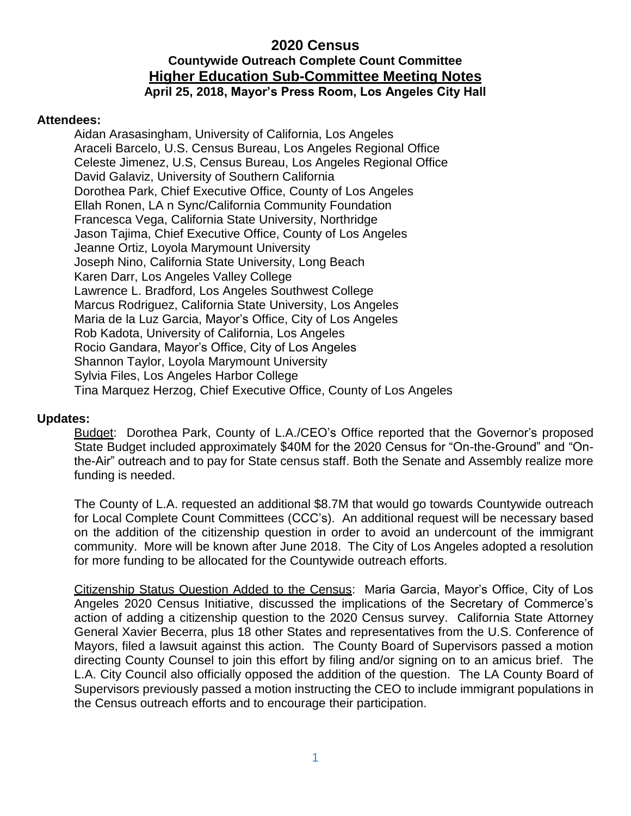### **2020 Census Countywide Outreach Complete Count Committee Higher Education Sub-Committee Meeting Notes April 25, 2018, Mayor's Press Room, Los Angeles City Hall**

#### **Attendees:**

Aidan Arasasingham, University of California, Los Angeles Araceli Barcelo, U.S. Census Bureau, Los Angeles Regional Office Celeste Jimenez, U.S, Census Bureau, Los Angeles Regional Office David Galaviz, University of Southern California Dorothea Park, Chief Executive Office, County of Los Angeles Ellah Ronen, LA n Sync/California Community Foundation Francesca Vega, California State University, Northridge Jason Tajima, Chief Executive Office, County of Los Angeles Jeanne Ortiz, Loyola Marymount University Joseph Nino, California State University, Long Beach Karen Darr, Los Angeles Valley College Lawrence L. Bradford, Los Angeles Southwest College Marcus Rodriguez, California State University, Los Angeles Maria de la Luz Garcia, Mayor's Office, City of Los Angeles Rob Kadota, University of California, Los Angeles Rocio Gandara, Mayor's Office, City of Los Angeles Shannon Taylor, Loyola Marymount University Sylvia Files, Los Angeles Harbor College Tina Marquez Herzog, Chief Executive Office, County of Los Angeles

### **Updates:**

Budget: Dorothea Park, County of L.A./CEO's Office reported that the Governor's proposed State Budget included approximately \$40M for the 2020 Census for "On-the-Ground" and "Onthe-Air" outreach and to pay for State census staff. Both the Senate and Assembly realize more funding is needed.

The County of L.A. requested an additional \$8.7M that would go towards Countywide outreach for Local Complete Count Committees (CCC's). An additional request will be necessary based on the addition of the citizenship question in order to avoid an undercount of the immigrant community. More will be known after June 2018. The City of Los Angeles adopted a resolution for more funding to be allocated for the Countywide outreach efforts.

Citizenship Status Question Added to the Census: Maria Garcia, Mayor's Office, City of Los Angeles 2020 Census Initiative, discussed the implications of the Secretary of Commerce's action of adding a citizenship question to the 2020 Census survey. California State Attorney General Xavier Becerra, plus 18 other States and representatives from the U.S. Conference of Mayors, filed a lawsuit against this action. The County Board of Supervisors passed a motion directing County Counsel to join this effort by filing and/or signing on to an amicus brief. The L.A. City Council also officially opposed the addition of the question. The LA County Board of Supervisors previously passed a motion instructing the CEO to include immigrant populations in the Census outreach efforts and to encourage their participation.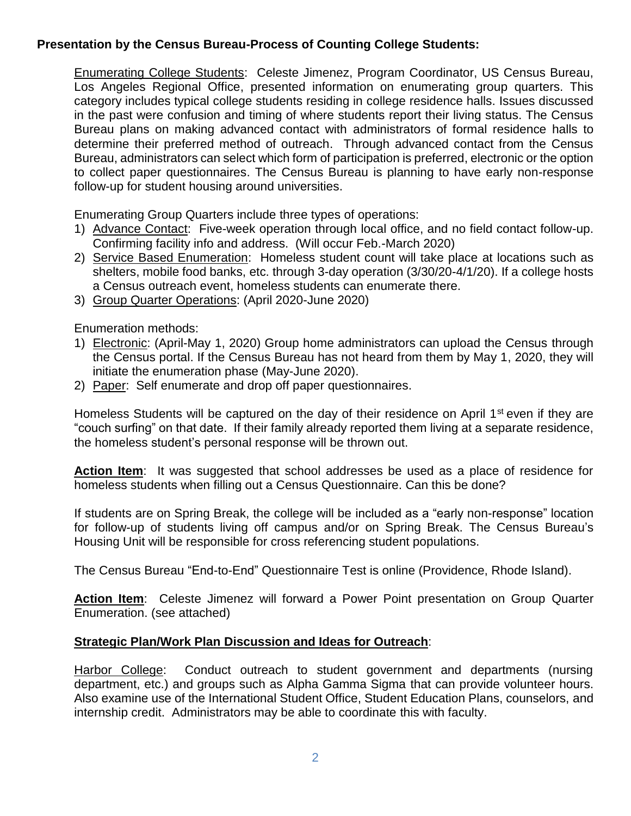# **Presentation by the Census Bureau-Process of Counting College Students:**

Enumerating College Students: Celeste Jimenez, Program Coordinator, US Census Bureau, Los Angeles Regional Office, presented information on enumerating group quarters. This category includes typical college students residing in college residence halls. Issues discussed in the past were confusion and timing of where students report their living status. The Census Bureau plans on making advanced contact with administrators of formal residence halls to determine their preferred method of outreach. Through advanced contact from the Census Bureau, administrators can select which form of participation is preferred, electronic or the option to collect paper questionnaires. The Census Bureau is planning to have early non-response follow-up for student housing around universities.

Enumerating Group Quarters include three types of operations:

- 1) Advance Contact: Five-week operation through local office, and no field contact follow-up. Confirming facility info and address. (Will occur Feb.-March 2020)
- 2) Service Based Enumeration: Homeless student count will take place at locations such as shelters, mobile food banks, etc. through 3-day operation (3/30/20-4/1/20). If a college hosts a Census outreach event, homeless students can enumerate there.
- 3) Group Quarter Operations: (April 2020-June 2020)

Enumeration methods:

- 1) Electronic: (April-May 1, 2020) Group home administrators can upload the Census through the Census portal. If the Census Bureau has not heard from them by May 1, 2020, they will initiate the enumeration phase (May-June 2020).
- 2) Paper: Self enumerate and drop off paper questionnaires.

Homeless Students will be captured on the day of their residence on April  $1<sup>st</sup>$  even if they are "couch surfing" on that date. If their family already reported them living at a separate residence, the homeless student's personal response will be thrown out.

**Action Item**: It was suggested that school addresses be used as a place of residence for homeless students when filling out a Census Questionnaire. Can this be done?

If students are on Spring Break, the college will be included as a "early non-response" location for follow-up of students living off campus and/or on Spring Break. The Census Bureau's Housing Unit will be responsible for cross referencing student populations.

The Census Bureau "End-to-End" Questionnaire Test is online (Providence, Rhode Island).

**Action Item**: Celeste Jimenez will forward a Power Point presentation on Group Quarter Enumeration. (see attached)

# **Strategic Plan/Work Plan Discussion and Ideas for Outreach**:

Harbor College: Conduct outreach to student government and departments (nursing department, etc.) and groups such as Alpha Gamma Sigma that can provide volunteer hours. Also examine use of the International Student Office, Student Education Plans, counselors, and internship credit. Administrators may be able to coordinate this with faculty.